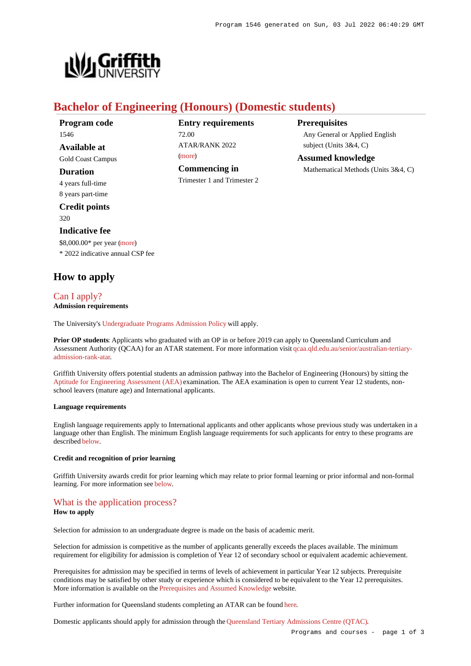

# **Bachelor of Engineering (Honours) (Domestic students)**

72.00

[\(more](https://www148.griffith.edu.au/programs-courses/Program/1546/HowToApply/Domestic#tac-entry-requirements))

**Program code** 1546 **Available at** Gold Coast Campus

**Duration**

4 years full-time 8 years part-time

**Credit points** 320

#### **Indicative fee**

\$8,000.00\* per year [\(more](https://www148.griffith.edu.au/programs-courses/Program/1546/Overview/Domestic#fees)) \* 2022 indicative annual CSP fee

# **How to apply**

### [Can I apply?](https://www148.griffith.edu.au/programs-courses/Program/1546/HowToApply/Domestic#can-i-apply) **Admission requirements**

The University's [Undergraduate Programs Admission Policy](https://sharepointpubstor.blob.core.windows.net/policylibrary-prod/Undergraduate Programs Admission Policy.pdf) will apply.

**Prior OP students**: Applicants who graduated with an OP in or before 2019 can apply to Queensland Curriculum and Assessment Authority (QCAA) for an ATAR statement. For more information visit [qcaa.qld.edu.au/senior/australian-tertiary](http://qcaa.qld.edu.au/senior/australian-tertiary-admission-rank-atar)[admission-rank-atar](http://qcaa.qld.edu.au/senior/australian-tertiary-admission-rank-atar).

Griffith University offers potential students an admission pathway into the Bachelor of Engineering (Honours) by sitting the [Aptitude for Engineering Assessment \(AEA\)](https://www.griffith.edu.au/griffith-sciences/school-engineering-built-environment/learning-teaching/aptitude-for-engineering-assessment?utm_source=degree&utm_medium=owned&utm_campaign=gs-eng-aea) examination. The AEA examination is open to current Year 12 students, nonschool leavers (mature age) and International applicants.

#### **Language requirements**

English language requirements apply to International applicants and other applicants whose previous study was undertaken in a language other than English. The minimum English language requirements for such applicants for entry to these programs are described [below](https://www148.griffith.edu.au/programs-courses/Program/1546/HowToApply/Domestic#language).

#### **Credit and recognition of prior learning**

Griffith University awards credit for prior learning which may relate to prior formal learning or prior informal and non-formal learning. For more information see [below](https://www148.griffith.edu.au/programs-courses/Program/1546/HowToApply/Domestic#credit).

### [What is the application process?](https://www148.griffith.edu.au/programs-courses/Program/1546/HowToApply/Domestic#process)

#### **How to apply**

Selection for admission to an undergraduate degree is made on the basis of academic merit.

Selection for admission is competitive as the number of applicants generally exceeds the places available. The minimum requirement for eligibility for admission is completion of Year 12 of secondary school or equivalent academic achievement.

Prerequisites for admission may be specified in terms of levels of achievement in particular Year 12 subjects. Prerequisite conditions may be satisfied by other study or experience which is considered to be equivalent to the Year 12 prerequisites. More information is available on the [Prerequisites and Assumed Knowledge](https://www.griffith.edu.au/apply/prerequisites-assumed-knowledge) website.

Further information for Queensland students completing an ATAR can be found [here](https://www.griffith.edu.au/apply/undergraduate-study/high-school-students/admission-in-2021).

Domestic applicants should apply for admission through the [Queensland Tertiary Admissions Centre \(QTAC\)](http://www.qtac.edu.au/).

**Entry requirements**  $ATAP/RANK 2022$ 

**Commencing in**

Trimester 1 and Trimester 2

**Prerequisites** Any General or Applied English subject (Units 3&4, C)

**Assumed knowledge**

Mathematical Methods (Units 3&4, C)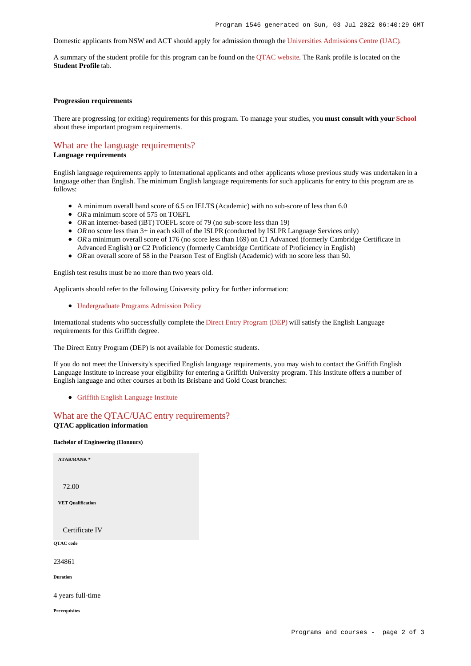Domestic applicants from NSW and ACT should apply for admission through the [Universities Admissions Centre \(UAC\)](http://www.uac.edu.au/).

A summary of the student profile for this program can be found on the [QTAC website](https://www.qtac.edu.au/courses/listing/bachelor-of-engineering-honours-234861/). The Rank profile is located on the **Student Profile** tab.

#### **Progression requirements**

There are progressing (or exiting) requirements for this program. To manage your studies, you **must consult with your [School](https://www.griffith.edu.au/engineering-information-technology/griffith-school-engineering)** about these important program requirements.

## [What are the language requirements?](https://www148.griffith.edu.au/programs-courses/Program/1546/HowToApply/Domestic#language)

#### **Language requirements**

English language requirements apply to International applicants and other applicants whose previous study was undertaken in a language other than English. The minimum English language requirements for such applicants for entry to this program are as follows:

- A minimum overall band score of 6.5 on IELTS (Academic) with no sub-score of less than 6.0
- *OR* a minimum score of 575 on TOEFL
- *OR* an internet-based (iBT) TOEFL score of 79 (no sub-score less than 19)
- OR no score less than 3+ in each skill of the ISLPR (conducted by ISLPR Language Services only)
- OR a minimum overall score of 176 (no score less than 169) on C1 Advanced (formerly Cambridge Certificate in Advanced English) **or** C2 Proficiency (formerly Cambridge Certificate of Proficiency in English)
- OR an overall score of 58 in the Pearson Test of English (Academic) with no score less than 50.

English test results must be no more than two years old.

Applicants should refer to the following University policy for further information:

[Undergraduate Programs Admission Policy](http://policies.griffith.edu.au/pdf/Undergraduate Programs Admission Policy.pdf)

International students who successfully complete the [Direct Entry Program \(DEP\)](https://www.griffith.edu.au/international/griffith-english-language-institute/courses/direct-entry-program) will satisfy the English Language requirements for this Griffith degree.

The Direct Entry Program (DEP) is not available for Domestic students.

If you do not meet the University's specified English language requirements, you may wish to contact the Griffith English Language Institute to increase your eligibility for entering a Griffith University program. This Institute offers a number of English language and other courses at both its Brisbane and Gold Coast branches:

[Griffith English Language Institute](https://www.griffith.edu.au/international/griffith-english-language-institute)

### [What are the QTAC/UAC entry requirements?](https://www148.griffith.edu.au/programs-courses/Program/1546/HowToApply/Domestic#tac-entry-requirements) **QTAC application information**

#### **Bachelor of Engineering (Honours)**

| <b>ATAR/RANK*</b>        |  |  |
|--------------------------|--|--|
| 72.00                    |  |  |
| <b>VET Qualification</b> |  |  |
|                          |  |  |
| Certificate IV           |  |  |
| QTAC code                |  |  |
| 234861                   |  |  |
| <b>Duration</b>          |  |  |
| 4 years full-time        |  |  |
| <b>Prerequisites</b>     |  |  |